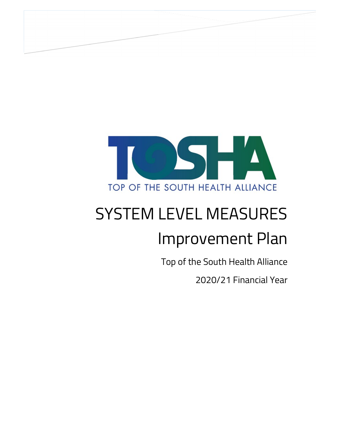

# SYSTEM LEVEL MEASURES Improvement Plan

Top of the South Health Alliance

2020/21 Financial Year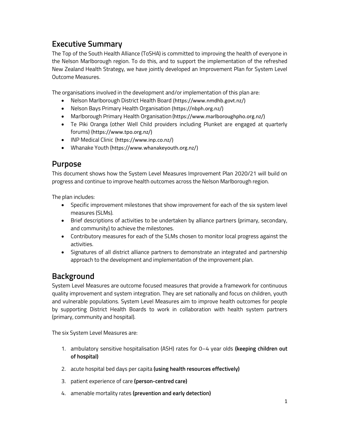# Executive Summary

The Top of the South Health Alliance (ToSHA) is committed to improving the health of everyone in the Nelson Marlborough region. To do this, and to support the implementation of the refreshed New Zealand Health Strategy, we have jointly developed an Improvement Plan for System Level Outcome Measures.

The organisations involved in the development and/or implementation of this plan are:

- Nelson Marlborough District Health Board (https://www.nmdhb.govt.nz/)
- Nelson Bays Primary Health Organisation (https://nbph.org.nz/)
- Marlborough Primary Health Organisation (https://www.marlboroughpho.org.nz/)
- Te Piki Oranga (other Well Child providers including Plunket are engaged at quarterly forums) (https://www.tpo.org.nz/)
- INP Medical Clinic (https://www.inp.co.nz/)
- Whanake Youth (https://www.whanakeyouth.org.nz/)

#### Purpose

This document shows how the System Level Measures Improvement Plan 2020/21 will build on progress and continue to improve health outcomes across the Nelson Marlborough region.

The plan includes:

- Specific improvement milestones that show improvement for each of the six system level measures (SLMs).
- Brief descriptions of activities to be undertaken by alliance partners (primary, secondary, and community) to achieve the milestones.
- Contributory measures for each of the SLMs chosen to monitor local progress against the activities.
- Signatures of all district alliance partners to demonstrate an integrated and partnership approach to the development and implementation of the improvement plan.

# Background

System Level Measures are outcome focused measures that provide a framework for continuous quality improvement and system integration. They are set nationally and focus on children, youth and vulnerable populations. System Level Measures aim to improve health outcomes for people by supporting District Health Boards to work in collaboration with health system partners (primary, community and hospital).

The six System Level Measures are:

- 1. ambulatory sensitive hospitalisation (ASH) rates for 0–4 year olds (keeping children out of hospital)
- 2. acute hospital bed days per capita (using health resources effectively)
- 3. patient experience of care (person-centred care)
- 4. amenable mortality rates (prevention and early detection)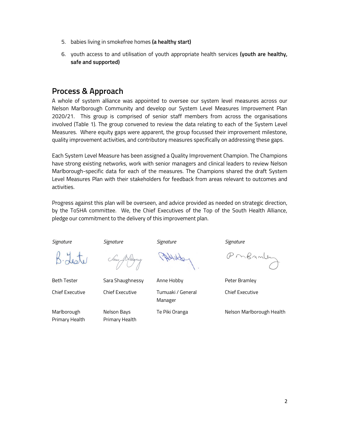- 5. babies living in smokefree homes (a healthy start)
- 6. youth access to and utilisation of youth appropriate health services (youth are healthy, safe and supported)

## Process & Approach

A whole of system alliance was appointed to oversee our system level measures across our Nelson Marlborough Community and develop our System Level Measures Improvement Plan 2020/21. This group is comprised of senior staff members from across the organisations involved (Table 1). The group convened to review the data relating to each of the System Level Measures. Where equity gaps were apparent, the group focussed their improvement milestone, quality improvement activities, and contributory measures specifically on addressing these gaps.

Each System Level Measure has been assigned a Quality Improvement Champion. The Champions have strong existing networks, work with senior managers and clinical leaders to review Nelson Marlborough-specific data for each of the measures. The Champions shared the draft System Level Measures Plan with their stakeholders for feedback from areas relevant to outcomes and activities.

Progress against this plan will be overseen, and advice provided as needed on strategic direction, by the ToSHA committee. We, the Chief Executives of the Top of the South Health Alliance, pledge our commitment to the delivery of this improvement plan.

Signature Signature Signature Signature

Sau Na

Marlborough Primary Health

Nelson Bays Primary Health

obletter

Beth Tester Sara Shaughnessy Anne Hobby Peter Bramley Chief Executive Chief Executive Tumuaki / General Manager

PMBAML

Chief Executive

Te Piki Oranga Nelson Marlborough Health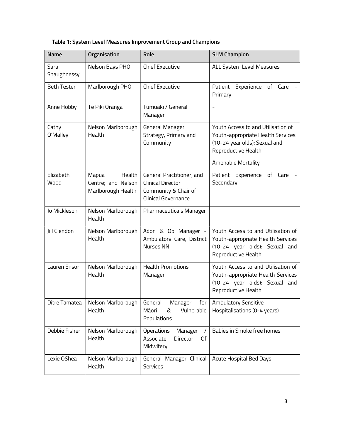|  | Table 1: System Level Measures Improvement Group and Champions |  |  |
|--|----------------------------------------------------------------|--|--|
|  |                                                                |  |  |

| <b>Name</b>         | Organisation                                                | Role                                                                                                 | <b>SLM Champion</b>                                                                                                                                           |
|---------------------|-------------------------------------------------------------|------------------------------------------------------------------------------------------------------|---------------------------------------------------------------------------------------------------------------------------------------------------------------|
| Sara<br>Shaughnessy | Nelson Bays PHO                                             | <b>Chief Executive</b>                                                                               | ALL System Level Measures                                                                                                                                     |
| <b>Beth Tester</b>  | Marlborough PHO                                             | <b>Chief Executive</b>                                                                               | Experience of Care<br>Patient<br>Primary                                                                                                                      |
| Anne Hobby          | Te Piki Oranga                                              | Tumuaki / General<br>Manager                                                                         |                                                                                                                                                               |
| Cathy<br>O'Malley   | Nelson Marlborough<br>Health                                | <b>General Manager</b><br>Strategy, Primary and<br>Community                                         | Youth Access to and Utilisation of<br>Youth-appropriate Health Services<br>(10-24 year olds): Sexual and<br>Reproductive Health.<br><b>Amenable Mortality</b> |
| Elizabeth<br>Wood   | Health<br>Mapua<br>Centre; and Nelson<br>Marlborough Health | General Practitioner; and<br><b>Clinical Director</b><br>Community & Chair of<br>Clinical Governance | Patient Experience<br>of<br>Care<br>Secondary                                                                                                                 |
| Jo Mickleson        | Nelson Marlborough<br>Health                                | Pharmaceuticals Manager                                                                              |                                                                                                                                                               |
| Jill Clendon        | Nelson Marlborough<br>Health                                | Adon & Op Manager -<br>Ambulatory Care, District<br>Nurses NN                                        | Youth Access to and Utilisation of<br>Youth-appropriate Health Services<br>(10-24 year olds): Sexual and<br>Reproductive Health.                              |
| Lauren Ensor        | Nelson Marlborough<br>Health                                | <b>Health Promotions</b><br>Manager                                                                  | Youth Access to and Utilisation of<br>Youth-appropriate Health Services<br>(10-24 year olds): Sexual and<br>Reproductive Health.                              |
| Ditre Tamatea       | Nelson Marlborough<br>Health                                | General<br>Manager<br>for<br>Vulnerable<br>Māori<br>ୡ<br>Populations                                 | Ambulatory Sensitive<br>Hospitalisations (0-4 years)                                                                                                          |
| Debbie Fisher       | Nelson Marlborough<br>Health                                | Operations<br>Manager<br>7<br>Associate<br>Director<br>Of<br>Midwifery                               | Babies in Smoke free homes                                                                                                                                    |
| Lexie OShea         | Nelson Marlborough<br>Health                                | General Manager Clinical<br><b>Services</b>                                                          | Acute Hospital Bed Days                                                                                                                                       |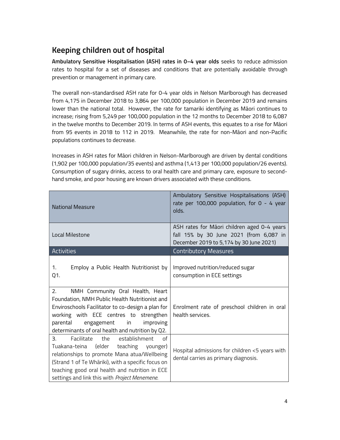# Keeping children out of hospital

Ambulatory Sensitive Hospitalisation (ASH) rates in 0–4 year olds seeks to reduce admission rates to hospital for a set of diseases and conditions that are potentially avoidable through prevention or management in primary care.

The overall non-standardised ASH rate for 0-4 year olds in Nelson Marlborough has decreased from 4,175 in December 2018 to 3,864 per 100,000 population in December 2019 and remains lower than the national total. However, the rate for tamariki identifying as Māori continues to increase; rising from 5,249 per 100,000 population in the 12 months to December 2018 to 6,087 in the twelve months to December 2019. In terms of ASH events, this equates to a rise for Māori from 95 events in 2018 to 112 in 2019. Meanwhile, the rate for non-Māori and non-Pacific populations continues to decrease.

Increases in ASH rates for Māori children in Nelson-Marlborough are driven by dental conditions (1,902 per 100,000 population/35 events) and asthma (1,413 per 100,000 population/26 events). Consumption of sugary drinks, access to oral health care and primary care, exposure to secondhand smoke, and poor housing are known drivers associated with these conditions.

| <b>National Measure</b>                                                                                                                                                                                                                                                                              | Ambulatory Sensitive Hospitalisations (ASH)<br>rate per 100,000 population, for $0 - 4$ year<br>olds.                             |
|------------------------------------------------------------------------------------------------------------------------------------------------------------------------------------------------------------------------------------------------------------------------------------------------------|-----------------------------------------------------------------------------------------------------------------------------------|
| Local Milestone                                                                                                                                                                                                                                                                                      | ASH rates for Māori children aged 0-4 years<br>fall 15% by 30 June 2021 (from 6,087 in<br>December 2019 to 5,174 by 30 June 2021) |
| <b>Activities</b>                                                                                                                                                                                                                                                                                    | <b>Contributory Measures</b>                                                                                                      |
| 1.<br>Employ a Public Health Nutritionist by<br>Q1.                                                                                                                                                                                                                                                  | Improved nutrition/reduced sugar<br>consumption in ECE settings                                                                   |
| 2.<br>NMH Community Oral Health, Heart<br>Foundation, NMH Public Health Nutritionist and<br>Enviroschools Facilitator to co-design a plan for<br>working with ECE centres to strengthen<br>parental<br>engagement<br>in in<br>improving<br>determinants of oral health and nutrition by Q2.          | Enrolment rate of preschool children in oral<br>health services.                                                                  |
| the establishment<br>$\Omega$<br>3.<br>Facilitate<br>Tuakana-teina (elder teaching younger)<br>relationships to promote Mana atua/Wellbeing<br>(Strand 1 of Te Whāriki), with a specific focus on<br>teaching good oral health and nutrition in ECE<br>settings and link this with Project Menemene. | Hospital admissions for children <5 years with<br>dental carries as primary diagnosis.                                            |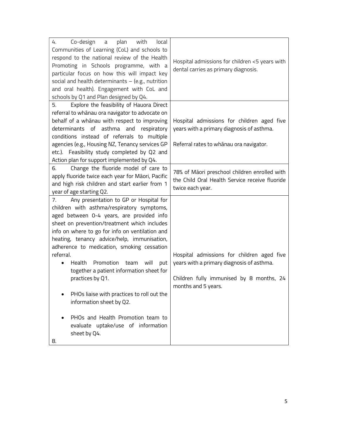| 4.<br>Co-design<br>a plan<br>with<br>local<br>Communities of Learning (CoL) and schools to<br>respond to the national review of the Health<br>Promoting in Schools programme, with a<br>particular focus on how this will impact key<br>social and health determinants $-$ (e.g., nutrition<br>and oral health). Engagement with CoL and<br>schools by Q1 and Plan designed by Q4.                                                                                                                                                                                                                                                                   | Hospital admissions for children <5 years with<br>dental carries as primary diagnosis.                                                                     |
|------------------------------------------------------------------------------------------------------------------------------------------------------------------------------------------------------------------------------------------------------------------------------------------------------------------------------------------------------------------------------------------------------------------------------------------------------------------------------------------------------------------------------------------------------------------------------------------------------------------------------------------------------|------------------------------------------------------------------------------------------------------------------------------------------------------------|
| Explore the feasibility of Hauora Direct<br>5.<br>referral to whanau ora navigator to advocate on<br>behalf of a whanau with respect to improving<br>determinants of asthma and respiratory<br>conditions instead of referrals to multiple<br>agencies (e.g., Housing NZ, Tenancy services GP<br>etc.). Feasibility study completed by Q2 and<br>Action plan for support implemented by Q4.                                                                                                                                                                                                                                                          | Hospital admissions for children aged five<br>years with a primary diagnosis of asthma.<br>Referral rates to whanau ora navigator.                         |
| Change the fluoride model of care to<br>6.<br>apply fluoride twice each year for Māori, Pacific<br>and high risk children and start earlier from 1<br>year of age starting Q2.                                                                                                                                                                                                                                                                                                                                                                                                                                                                       | 78% of Māori preschool children enrolled with<br>the Child Oral Health Service receive fluoride<br>twice each year.                                        |
| Any presentation to GP or Hospital for<br>7.<br>children with asthma/respiratory symptoms,<br>aged between 0-4 years, are provided info<br>sheet on prevention/treatment which includes<br>info on where to go for info on ventilation and<br>heating, tenancy advice/help, immunisation,<br>adherence to medication, smoking cessation<br>referral.<br>Health Promotion<br>team will<br>put<br>$\bullet$<br>together a patient information sheet for<br>practices by Q1.<br>PHOs liaise with practices to roll out the<br>information sheet by Q2.<br>PHOs and Health Promotion team to<br>evaluate uptake/use of information<br>sheet by Q4.<br>8. | Hospital admissions for children aged five<br>years with a primary diagnosis of asthma.<br>Children fully immunised by 8 months, 24<br>months and 5 years. |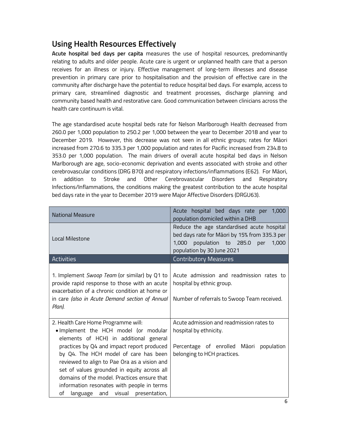# Using Health Resources Effectively

Acute hospital bed days per capita measures the use of hospital resources, predominantly relating to adults and older people. Acute care is urgent or unplanned health care that a person receives for an illness or injury. Effective management of long-term illnesses and disease prevention in primary care prior to hospitalisation and the provision of effective care in the community after discharge have the potential to reduce hospital bed days. For example, access to primary care, streamlined diagnostic and treatment processes, discharge planning and community based health and restorative care. Good communication between clinicians across the health care continuum is vital.

The age standardised acute hospital beds rate for Nelson Marlborough Health decreased from 260.0 per 1,000 population to 250.2 per 1,000 between the year to December 2018 and year to December 2019. However, this decrease was not seen in all ethnic groups; rates for Māori increased from 270.6 to 335.3 per 1,000 population and rates for Pacific increased from 234.8 to 353.0 per 1,000 population. The main drivers of overall acute hospital bed days in Nelson Marlborough are age, socio-economic deprivation and events associated with stroke and other cerebrovascular conditions (DRG B70) and respiratory infections/inflammations (E62). For Māori, in addition to Stroke and Other Cerebrovascular Disorders and Respiratory Infections/Inflammations, the conditions making the greatest contribution to the acute hospital bed days rate in the year to December 2019 were Major Affective Disorders (DRGU63).

| <b>National Measure</b>                                                                                                                                                                                                                                                                                                                                                                                                                              | Acute hospital bed days rate per 1,000<br>population domiciled within a DHB                                                                                         |
|------------------------------------------------------------------------------------------------------------------------------------------------------------------------------------------------------------------------------------------------------------------------------------------------------------------------------------------------------------------------------------------------------------------------------------------------------|---------------------------------------------------------------------------------------------------------------------------------------------------------------------|
| Local Milestone                                                                                                                                                                                                                                                                                                                                                                                                                                      | Reduce the age standardised acute hospital<br>bed days rate for Māori by 15% from 335.3 per<br>1,000 population to 285.0 per<br>1,000<br>population by 30 June 2021 |
| <b>Activities</b>                                                                                                                                                                                                                                                                                                                                                                                                                                    | <b>Contributory Measures</b>                                                                                                                                        |
| 1. Implement Swoop Team (or similar) by Q1 to<br>provide rapid response to those with an acute<br>exacerbation of a chronic condition at home or<br>in care (also in Acute Demand section of Annual<br>Plan).                                                                                                                                                                                                                                        | Acute admission and readmission rates to<br>hospital by ethnic group.<br>Number of referrals to Swoop Team received.                                                |
| 2. Health Care Home Programme will:<br>. Implement the HCH model (or modular<br>elements of HCH) in additional general<br>practices by Q4 and impact report produced<br>by Q4. The HCH model of care has been<br>reviewed to align to Pae Ora as a vision and<br>set of values grounded in equity across all<br>domains of the model. Practices ensure that<br>information resonates with people in terms<br>language and visual presentation,<br>of | Acute admission and readmission rates to<br>hospital by ethnicity.<br>Percentage of enrolled Māori<br>population<br>belonging to HCH practices.                     |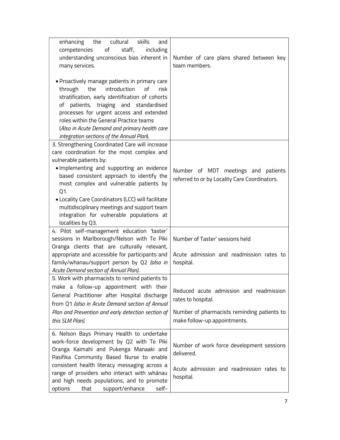| enhancing the<br>cultural<br>skills<br>and<br>competencies<br>of<br>staff,<br>including<br>understanding unconscious bias inherent in<br>many services.                                                                                                                                                                                                                                                                                     | Number of care plans shared between key<br>team members.                                                                                     |
|---------------------------------------------------------------------------------------------------------------------------------------------------------------------------------------------------------------------------------------------------------------------------------------------------------------------------------------------------------------------------------------------------------------------------------------------|----------------------------------------------------------------------------------------------------------------------------------------------|
| • Proactively manage patients in primary care<br>introduction<br>of<br>the<br>through<br>risk<br>stratification, early identification of cohorts<br>of patients, triaging and standardised<br>processes for urgent access and extended<br>roles within the General Practice teams<br>(Also in Acute Demand and primary health care<br>integration sections of the Annual Plan).                                                             |                                                                                                                                              |
| 3. Strengthening Coordinated Care will increase<br>care coordination for the most complex and<br>vulnerable patients by:<br>· Implementing and supporting an evidence<br>based consistent approach to identify the<br>most complex and vulnerable patients by<br>Q1.<br>• Locality Care Coordinators (LCC) will facilitate<br>multidisciplinary meetings and support team<br>integration for vulnerable populations at<br>localities by Q3. | Number of MDT meetings and patients<br>referred to or by Locality Care Coordinators.                                                         |
| 4. Pilot self-management education 'taster'<br>sessions in Marlborough/Nelson with Te Piki<br>Oranga clients that are culturally relevant,<br>appropriate and accessible for participants and<br>family/whanau/support person by Q2 (also in<br>Acute Demand section of Annual Plan).                                                                                                                                                       | Number of Taster' sessions held<br>Acute admission and readmission rates to<br>hospital.                                                     |
| 5. Work with pharmacists to remind patients to<br>make a follow-up appointment with their<br>General Practitioner after Hospital discharge<br>from Q1 (also in Acute Demand section of Annual<br>Plan and Prevention and early detection section of<br>this SLM Plan).                                                                                                                                                                      | Reduced acute admission and readmission<br>rates to hospital.<br>Number of pharmacists reminding patients to<br>make follow-up appointments. |
| 6. Nelson Bays Primary Health to undertake<br>work-force development by Q2 with Te Piki<br>Oranga Kaimahi and Pukenga Manaaki and<br>Pasifika Community Based Nurse to enable<br>consistent health literacy messaging across a<br>range of providers who interact with whānau<br>and high needs populations, and to promote<br>support/enhance<br>options<br>that<br>self-                                                                  | Number of work force development sessions<br>delivered.<br>Acute admission and readmission rates to<br>hospital.                             |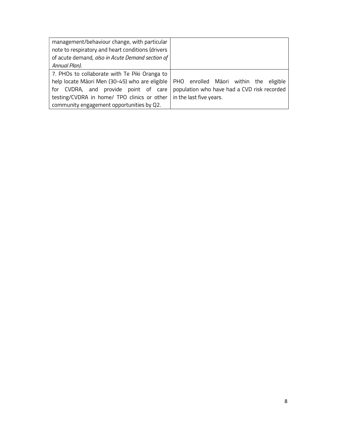| management/behaviour change, with particular      |                                             |
|---------------------------------------------------|---------------------------------------------|
| note to respiratory and heart conditions (drivers |                                             |
| of acute demand, also in Acute Demand section of  |                                             |
| Annual Plan).                                     |                                             |
| 7. PHOs to collaborate with Te Piki Oranga to     |                                             |
| help locate Māori Men (30-45) who are eligible    | PHO enrolled Māori within the eligible      |
| for CVDRA, and provide point of care              | population who have had a CVD risk recorded |
| testing/CVDRA in home/ TPO clinics or other       | in the last five years.                     |
| community engagement opportunities by Q2.         |                                             |
|                                                   |                                             |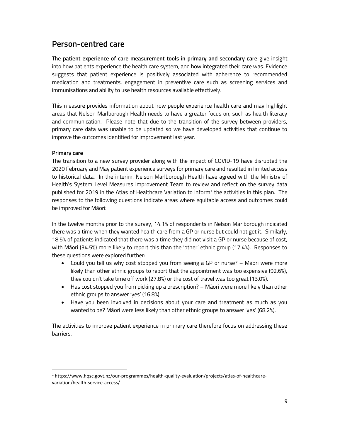#### Person-centred care

The patient experience of care measurement tools in primary and secondary care give insight into how patients experience the health care system, and how integrated their care was. Evidence suggests that patient experience is positively associated with adherence to recommended medication and treatments, engagement in preventive care such as screening services and immunisations and ability to use health resources available effectively.

This measure provides information about how people experience health care and may highlight areas that Nelson Marlborough Health needs to have a greater focus on, such as health literacy and communication. Please note that due to the transition of the survey between providers, primary care data was unable to be updated so we have developed activities that continue to improve the outcomes identified for improvement last year.

#### Primary care

The transition to a new survey provider along with the impact of COVID-19 have disrupted the 2020 February and May patient experience surveys for primary care and resulted in limited access to historical data. In the interim, Nelson Marlborough Health have agreed with the Ministry of Health's System Level Measures Improvement Team to review and reflect on the survey data published for 2019 in the Atlas of Healthcare Variation to inform<sup>1</sup> the activities in this plan. The responses to the following questions indicate areas where equitable access and outcomes could be improved for Māori:

In the twelve months prior to the survey, 14.1% of respondents in Nelson Marlborough indicated there was a time when they wanted health care from a GP or nurse but could not get it. Similarly, 18.5% of patients indicated that there was a time they did not visit a GP or nurse because of cost, with Māori (34.5%) more likely to report this than the 'other' ethnic group (17.4%). Responses to these questions were explored further:

- Could you tell us why cost stopped you from seeing a GP or nurse? Māori were more likely than other ethnic groups to report that the appointment was too expensive (92.6%), they couldn't take time off work (27.8%) or the cost of travel was too great (13.0%).
- Has cost stopped you from picking up a prescription? Māori were more likely than other ethnic groups to answer 'yes' (16.8%)
- Have you been involved in decisions about your care and treatment as much as you wanted to be? Māori were less likely than other ethnic groups to answer 'yes' (68.2%).

The activities to improve patient experience in primary care therefore focus on addressing these barriers.

<sup>1</sup> 1 https://www.hqsc.govt.nz/our-programmes/health-quality-evaluation/projects/atlas-of-healthcarevariation/health-service-access/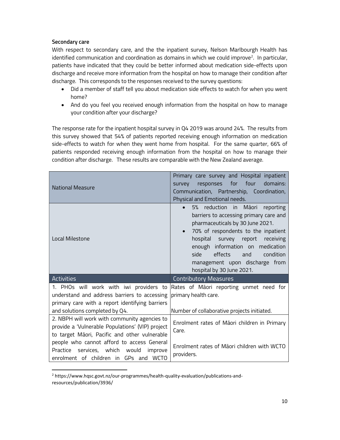#### Secondary care

1

With respect to secondary care, and the the inpatient survey, Nelson Marlbourgh Health has identified communication and coordination as domains in which we could improve<sup>2</sup>. In particular, patients have indicated that they could be better informed about medication side-effects upon discharge and receive more information from the hospital on how to manage their condition after discharge. This corresponds to the responses received to the survey questions:

- Did a member of staff tell you about medication side effects to watch for when you went home?
- And do you feel you received enough information from the hospital on how to manage your condition after your discharge?

The response rate for the inpatient hospital survey in Q4 2019 was around 24%. The results from this survey showed that 54% of patients reported receiving enough information on medication side-effects to watch for when they went home from hospital. For the same quarter, 66% of patients responded receiving enough information from the hospital on how to manage their condition after discharge. These results are comparable with the New Zealand average.

| National Measure                                                                                                                                                             | Primary care survey and Hospital inpatient<br>responses for four<br>domains:<br>survey<br>Communication, Partnership, Coordination,<br>Physical and Emotional needs.                                                                                                                                                                           |
|------------------------------------------------------------------------------------------------------------------------------------------------------------------------------|------------------------------------------------------------------------------------------------------------------------------------------------------------------------------------------------------------------------------------------------------------------------------------------------------------------------------------------------|
| Local Milestone                                                                                                                                                              | reduction in<br>Māori<br>5%<br>reporting<br>barriers to accessing primary care and<br>pharmaceuticals by 30 June 2021.<br>70% of respondents to the inpatient<br>hospital survey report<br>receiving<br>enough information on medication<br>side<br>effects<br>condition<br>and<br>management upon discharge from<br>hospital by 30 June 2021. |
| <b>Activities</b>                                                                                                                                                            | <b>Contributory Measures</b>                                                                                                                                                                                                                                                                                                                   |
| 1. PHOs will work with iwi providers to<br>understand and address barriers to accessing<br>primary care with a report identifying barriers<br>and solutions completed by Q4. | Rates of Māori reporting unmet need for<br>primary health care.<br>Number of collaborative projects initiated.                                                                                                                                                                                                                                 |
| 2. NBPH will work with community agencies to<br>provide a 'Vulnerable Populations' (VIP) project<br>to target Māori, Pacific and other vulnerable                            | Enrolment rates of Māori children in Primary<br>Care.                                                                                                                                                                                                                                                                                          |
| people who cannot afford to access General<br>services, which<br>Practice<br>would<br>improve<br>enrolment of children in GPs and WCTO                                       | Enrolment rates of Māori children with WCTO<br>providers.                                                                                                                                                                                                                                                                                      |

<sup>&</sup>lt;sup>2</sup> https://www.hqsc.govt.nz/our-programmes/health-quality-evaluation/publications-andresources/publication/3936/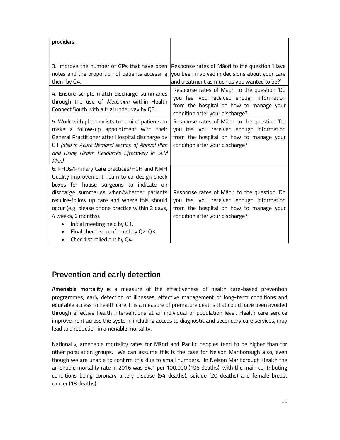| providers.                                                                                                                                                                                                                                                                                                                                                                                                        |                                                                                                                                                                        |
|-------------------------------------------------------------------------------------------------------------------------------------------------------------------------------------------------------------------------------------------------------------------------------------------------------------------------------------------------------------------------------------------------------------------|------------------------------------------------------------------------------------------------------------------------------------------------------------------------|
|                                                                                                                                                                                                                                                                                                                                                                                                                   |                                                                                                                                                                        |
| 3. Improve the number of GPs that have open<br>notes and the proportion of patients accessing<br>them by Q4.                                                                                                                                                                                                                                                                                                      | Response rates of Māori to the question 'Have<br>you been involved in decisions about your care<br>and treatment as much as you wanted to be?'                         |
| 4. Ensure scripts match discharge summaries<br>through the use of Medsman within Health<br>Connect South with a trial underway by Q3.                                                                                                                                                                                                                                                                             | Response rates of Māori to the question 'Do<br>you feel you received enough information<br>from the hospital on how to manage your<br>condition after your discharge?' |
| 5. Work with pharmacists to remind patients to<br>make a follow-up appointment with their<br>General Practitioner after Hospital discharge by<br>Q1 (also in Acute Demand section of Annual Plan<br>and Using Health Resources Effectively in SLM<br>Plan).                                                                                                                                                       | Response rates of Māori to the question 'Do<br>you feel you received enough information<br>from the hospital on how to manage your<br>condition after your discharge?' |
| 6. PHOs/Primary Care practices/HCH and NMH<br>Quality Improvement Team to co-design check<br>boxes for house surgeons to indicate on<br>discharge summaries when/whether patients<br>require-follow up care and where this should<br>occur (e.g. please phone practice within 2 days,<br>4 weeks, 6 months).<br>Initial meeting held by Q1.<br>Final checklist confirmed by Q2-Q3.<br>Checklist rolled out by Q4. | Response rates of Māori to the question 'Do<br>you feel you received enough information<br>from the hospital on how to manage your<br>condition after your discharge?' |

## Prevention and early detection

Amenable mortality is a measure of the effectiveness of health care-based prevention programmes, early detection of illnesses, effective management of long-term conditions and equitable access to health care. It is a measure of premature deaths that could have been avoided through effective health interventions at an individual or population level. Health care service improvement across the system, including access to diagnostic and secondary care services, may lead to a reduction in amenable mortality.

Nationally, amenable mortality rates for Māori and Pacific peoples tend to be higher than for other population groups. We can assume this is the case for Nelson Marlborough also, even though we are unable to confirm this due to small numbers. In Nelson Marlborough Health the amenable mortality rate in 2016 was 84.1 per 100,000 (196 deaths), with the main contributing conditions being coronary artery disease (54 deaths), suicide (20 deaths) and female breast cancer (18 deaths).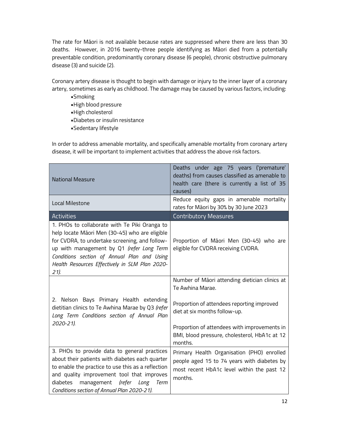The rate for Māori is not available because rates are suppressed where there are less than 30 deaths. However, in 2016 twenty-three people identifying as Māori died from a potentially preventable condition, predominantly coronary disease (6 people), chronic obstructive pulmonary disease (3) and suicide (2).

Coronary artery disease is thought to begin with damage or injury to the inner layer of a coronary artery, sometimes as early as childhood. The damage may be caused by various factors, including:

- •Smoking
- •High blood pressure
- •High cholesterol
- •Diabetes or insulin resistance
- •Sedentary lifestyle

In order to address amenable mortality, and specifically amenable mortality from coronary artery disease, it will be important to implement activities that address the above risk factors.

| <b>National Measure</b>                                                                                                                                                                                                                                                                                 | Deaths under age 75 years ('premature'<br>deaths) from causes classified as amenable to<br>health care (there is currently a list of 35<br>causes) |
|---------------------------------------------------------------------------------------------------------------------------------------------------------------------------------------------------------------------------------------------------------------------------------------------------------|----------------------------------------------------------------------------------------------------------------------------------------------------|
| Local Milestone                                                                                                                                                                                                                                                                                         | Reduce equity gaps in amenable mortality<br>rates for Māori by 30% by 30 June 2023                                                                 |
| <b>Activities</b>                                                                                                                                                                                                                                                                                       | <b>Contributory Measures</b>                                                                                                                       |
| 1. PHOs to collaborate with Te Piki Oranga to<br>help locate Māori Men (30-45) who are eligible<br>for CVDRA, to undertake screening, and follow-<br>up with management by Q1 (refer Long Term<br>Conditions section of Annual Plan and Using<br>Health Resources Effectively in SLM Plan 2020-<br>21). | Proportion of Māori Men (30-45) who are<br>eligible for CVDRA receiving CVDRA.                                                                     |
|                                                                                                                                                                                                                                                                                                         | Number of Māori attending dietician clinics at<br>Te Awhina Marae.                                                                                 |
| 2. Nelson Bays Primary Health extending<br>dietitian clinics to Te Awhina Marae by Q3 (refer<br>Long Term Conditions section of Annual Plan                                                                                                                                                             | Proportion of attendees reporting improved<br>diet at six months follow-up.                                                                        |
| 2020-21).                                                                                                                                                                                                                                                                                               | Proportion of attendees with improvements in<br>BMI, blood pressure, cholesterol, HbA1c at 12<br>months.                                           |
| 3. PHOs to provide data to general practices<br>about their patients with diabetes each quarter<br>to enable the practice to use this as a reflection<br>and quality improvement tool that improves<br>diabetes<br>management<br>(refer Long<br>Term<br>Conditions section of Annual Plan 2020-21).     | Primary Health Organisation (PHO) enrolled<br>people aged 15 to 74 years with diabetes by<br>most recent HbA1c level within the past 12<br>months. |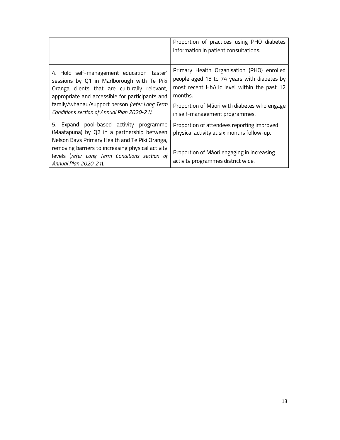|                                                                                                                                                                                                                                                                                             | Proportion of practices using PHO diabetes<br>information in patient consultations.                                                                                                                                                  |
|---------------------------------------------------------------------------------------------------------------------------------------------------------------------------------------------------------------------------------------------------------------------------------------------|--------------------------------------------------------------------------------------------------------------------------------------------------------------------------------------------------------------------------------------|
| 4. Hold self-management education 'taster'<br>sessions by Q1 in Marlborough with Te Piki<br>Oranga clients that are culturally relevant,<br>appropriate and accessible for participants and<br>family/whanau/support person (refer Long Term<br>Conditions section of Annual Plan 2020-21). | Primary Health Organisation (PHO) enrolled<br>people aged 15 to 74 years with diabetes by<br>most recent HbA1c level within the past 12<br>months.<br>Proportion of Māori with diabetes who engage<br>in self-management programmes. |
| 5. Expand pool-based activity programme<br>(Maatapuna) by Q2 in a partnership between<br>Nelson Bays Primary Health and Te Piki Oranga,<br>removing barriers to increasing physical activity<br>levels (refer Long Term Conditions section of<br>Annual Plan 2020-21).                      | Proportion of attendees reporting improved<br>physical activity at six months follow-up.<br>Proportion of Māori engaging in increasing<br>activity programmes district wide.                                                         |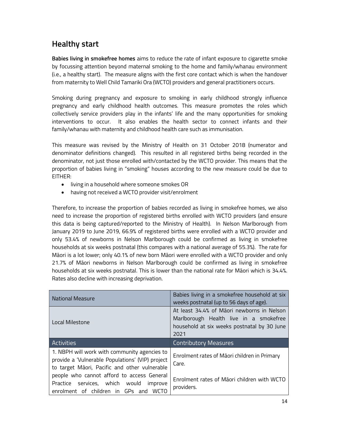# Healthy start

Babies living in smokefree homes aims to reduce the rate of infant exposure to cigarette smoke by focussing attention beyond maternal smoking to the home and family/whanau environment (i.e., a healthy start). The measure aligns with the first core contact which is when the handover from maternity to Well Child Tamariki Ora (WCTO) providers and general practitioners occurs.

Smoking during pregnancy and exposure to smoking in early childhood strongly influence pregnancy and early childhood health outcomes. This measure promotes the roles which collectively service providers play in the infants' life and the many opportunities for smoking interventions to occur. It also enables the health sector to connect infants and their family/whanau with maternity and childhood health care such as immunisation.

This measure was revised by the Ministry of Health on 31 October 2018 (numerator and denominator definitions changed). This resulted in all registered births being recorded in the denominator, not just those enrolled with/contacted by the WCTO provider. This means that the proportion of babies living in "smoking" houses according to the new measure could be due to EITHER:

- living in a household where someone smokes OR
- having not received a WCTO provider visit/enrolment

Therefore, to increase the proportion of babies recorded as living in smokefree homes, we also need to increase the proportion of registered births enrolled with WCTO providers (and ensure this data is being captured/reported to the Ministry of Health). In Nelson Marlborough from January 2019 to June 2019, 66.9% of registered births were enrolled with a WCTO provider and only 53.4% of newborns in Nelson Marlborough could be confirmed as living in smokefree households at six weeks postnatal (this compares with a national average of 55.3%). The rate for Māori is a lot lower; only 40.1% of new born Māori were enrolled with a WCTO provider and only 21.7% of Māori newborns in Nelson Marlborough could be confirmed as living in smokefree households at six weeks postnatal. This is lower than the national rate for Māori which is 34.4%. Rates also decline with increasing deprivation.

| <b>National Measure</b>                                                                                                                           | Babies living in a smokefree household at six<br>weeks postnatal (up to 56 days of age).                                                    |
|---------------------------------------------------------------------------------------------------------------------------------------------------|---------------------------------------------------------------------------------------------------------------------------------------------|
| Local Milestone                                                                                                                                   | At least 34.4% of Māori newborns in Nelson<br>Marlborough Health live in a smokefree<br>household at six weeks postnatal by 30 June<br>2021 |
| Activities                                                                                                                                        | <b>Contributory Measures</b>                                                                                                                |
| 1. NBPH will work with community agencies to<br>provide a 'Vulnerable Populations' (VIP) project<br>to target Māori, Pacific and other vulnerable | Enrolment rates of Māori children in Primary<br>Care.                                                                                       |
| people who cannot afford to access General<br>Practice services, which would<br>improve<br>enrolment of children in GPs and<br><b>WCTO</b>        | Enrolment rates of Maori children with WCTO<br>providers.                                                                                   |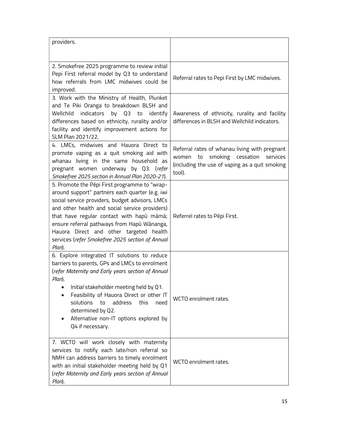| providers.                                                                                                                                                                                                                                                                                                                                                                                                 |                                                                                                                                                           |
|------------------------------------------------------------------------------------------------------------------------------------------------------------------------------------------------------------------------------------------------------------------------------------------------------------------------------------------------------------------------------------------------------------|-----------------------------------------------------------------------------------------------------------------------------------------------------------|
| 2. Smokefree 2025 programme to review initial<br>Pepi First referral model by Q3 to understand<br>how referrals from LMC midwives could be<br>improved.                                                                                                                                                                                                                                                    | Referral rates to Pepi First by LMC midwives.                                                                                                             |
| 3. Work with the Ministry of Health, Plunket<br>and Te Piki Oranga to breakdown BLSH and<br>Wellchild<br>indicators<br>by Q3 to identify<br>differences based on ethnicity, rurality and/or<br>facility and identify improvement actions for<br>SLM Plan 2021/22.                                                                                                                                          | Awareness of ethnicity, rurality and facility<br>differences in BLSH and Wellchild indicators.                                                            |
| 4. LMCs, midwives and Hauora Direct to<br>promote vaping as a quit smoking aid with<br>whanau living in the same household as<br>pregnant women underway by Q3. (refer<br>Smokefree 2025 section in Annual Plan 2020-21).                                                                                                                                                                                  | Referral rates of whanau living with pregnant<br>smoking cessation<br>to<br>services<br>women<br>(including the use of vaping as a quit smoking<br>tool). |
| 5. Promote the Pēpi First programme to "wrap-<br>around support" partners each quarter (e.g. iwi<br>social service providers, budget advisors, LMCs<br>and other health and social service providers)<br>that have regular contact with hapū māmā;<br>ensure referral pathways from Hapū Wānanga,<br>Hauora Direct and other targeted health<br>services (refer Smokefree 2025 section of Annual<br>Plan). | Referrel rates to Pēpi First.                                                                                                                             |
| 6. Explore integrated IT solutions to reduce<br>barriers to parents, GPs and LMCs to enrolment<br>(refer Maternity and Early years section of Annual<br>Plan).<br>Initial stakeholder meeting held by Q1.<br>Feasibility of Hauora Direct or other IT<br>solutions<br>address<br>this<br>to<br>need<br>determined by Q2.<br>Alternative non-IT options explored by<br>Q4 if necessary.                     | WCTO enrolment rates.                                                                                                                                     |
| 7. WCTO will work closely with maternity<br>services to notify each late/non referral so<br>NMH can address barriers to timely enrolment<br>with an initial stakeholder meeting held by Q1<br>(refer Maternity and Early years section of Annual<br>Plan).                                                                                                                                                 | WCTO enrolment rates.                                                                                                                                     |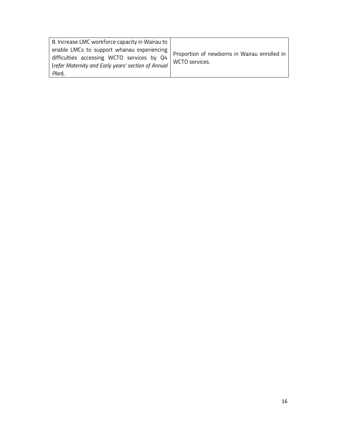| 8. Increase LMC workforce capacity in Wairau to<br>enable LMCs to support whanau experiencing<br>difficulties accessing WCTO services by Q4<br>(refer Maternity and Early years' section of Annual | Proportion of newborns in Wairau enrolled in<br>WCTO services. |
|----------------------------------------------------------------------------------------------------------------------------------------------------------------------------------------------------|----------------------------------------------------------------|
| Plan).                                                                                                                                                                                             |                                                                |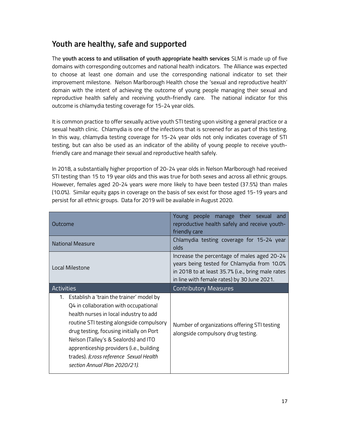## Youth are healthy, safe and supported

The youth access to and utilisation of youth appropriate health services SLM is made up of five domains with corresponding outcomes and national health indicators. The Alliance was expected to choose at least one domain and use the corresponding national indicator to set their improvement milestone. Nelson Marlborough Health chose the 'sexual and reproductive health' domain with the intent of achieving the outcome of young people managing their sexual and reproductive health safely and receiving youth-friendly care. The national indicator for this outcome is chlamydia testing coverage for 15-24 year olds.

It is common practice to offer sexually active youth STI testing upon visiting a general practice or a sexual health clinic. Chlamydia is one of the infections that is screened for as part of this testing. In this way, chlamydia testing coverage for 15-24 year olds not only indicates coverage of STI testing, but can also be used as an indicator of the ability of young people to receive youthfriendly care and manage their sexual and reproductive health safely.

In 2018, a substantially higher proportion of 20-24 year olds in Nelson Marlborough had received STI testing than 15 to 19 year olds and this was true for both sexes and across all ethnic groups. However, females aged 20-24 years were more likely to have been tested (37.5%) than males (10.0%). Similar equity gaps in coverage on the basis of sex exist for those aged 15-19 years and persist for all ethnic groups. Data for 2019 will be available in August 2020.

| Outcome                                                                                                                                                                                                                                                                                                                                                                                | Young people manage their sexual and<br>reproductive health safely and receive youth-<br>friendly care                                                                                         |
|----------------------------------------------------------------------------------------------------------------------------------------------------------------------------------------------------------------------------------------------------------------------------------------------------------------------------------------------------------------------------------------|------------------------------------------------------------------------------------------------------------------------------------------------------------------------------------------------|
| <b>National Measure</b>                                                                                                                                                                                                                                                                                                                                                                | Chlamydia testing coverage for 15-24 year<br>olds                                                                                                                                              |
| Local Milestone                                                                                                                                                                                                                                                                                                                                                                        | Increase the percentage of males aged 20-24<br>years being tested for Chlamydia from 10.0%<br>in 2018 to at least 35.7% (i.e., bring male rates<br>in line with female rates) by 30 June 2021. |
| <b>Activities</b>                                                                                                                                                                                                                                                                                                                                                                      | <b>Contributory Measures</b>                                                                                                                                                                   |
| 1. Establish a 'train the trainer' model by<br>Q4 in collaboration with occupational<br>health nurses in local industry to add<br>routine STI testing alongside compulsory<br>drug testing, focusing initially on Port<br>Nelson (Talley's & Sealords) and ITO<br>apprenticeship providers (i.e., building<br>trades). (cross reference Sexual Health<br>section Annual Plan 2020/21). | Number of organizations offering STI testing<br>alongside compulsory drug testing.                                                                                                             |